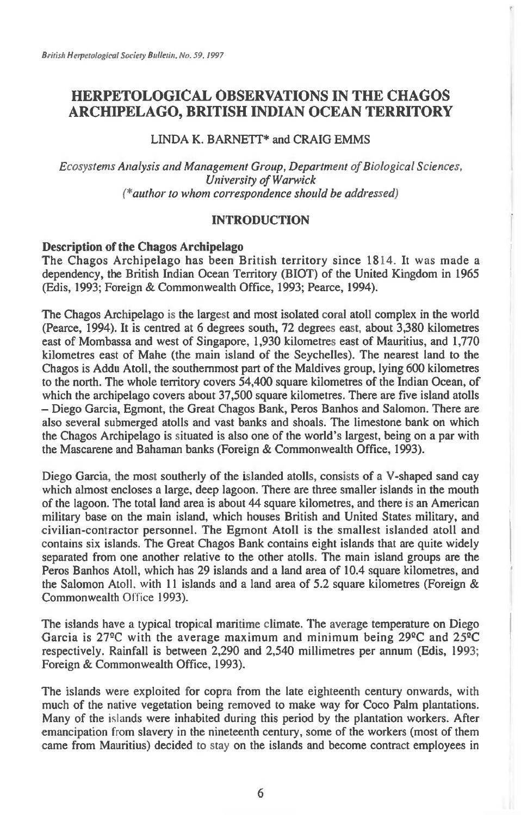# **HERPETOLOGICAL OBSERVATIONS IN THE CHAGOS ARCHIPELAGO, BRITISH INDIAN OCEAN TERRITORY**

## LINDA K. BARNETT\* and CRAIG EMMS

*Ecosystems Analysis and Management Group, Department of Biological Sciences, University of Warwick (\*author to whom correspondence should be addressed)* 

## **INTRODUCTION**

## **Description of the Chagos Archipelago**

The Chagos Archipelago has been British territory since 1814. It was made a dependency, the British Indian Ocean Territory (BIOT) of the United Kingdom in 1965 (Edis, 1993; Foreign & Commonwealth Office, 1993; Pearce, 1994).

The Chagos Archipelago is the largest and most isolated coral atoll complex in the world (Pearce, 1994). It is centred at 6 degrees south, 72 degrees east, about 3,380 kilometres east of Mombassa and west of Singapore, 1,930 kilometres east of Mauritius, and 1,770 kilometres east of Mahe (the main island of the Seychelles). The nearest land to the Chagos is Addu Atoll, the southernmost part of the Maldives group, lying 600 kilometres to the north. The whole territory covers 54,400 square kilometres of the Indian Ocean, of which the archipelago covers about 37,500 square kilometres. There are five island atolls — Diego Garcia, Egmont, the Great Chagos Bank, Peros Banhos and Salomon. There are also several submerged atolls and vast banks and shoals. The limestone bank on which the Chagos Archipelago is situated is also one of the world's largest, being on a par with the Mascarene and Bahaman banks (Foreign & Commonwealth Office, 1993).

Diego Garcia, the most southerly of the islanded atolls, consists of a V-shaped sand cay which almost encloses a large, deep lagoon. There are three smaller islands in the mouth of the lagoon. The total land area is about 44 square kilometres, and there is an American military base on the main island, which houses British and United States military, and civilian-contractor personnel. The Egmont Atoll is the smallest islanded atoll and contains six islands. The Great Chagos Bank contains eight islands that are quite widely separated from one another relative to the other atolls. The main island groups are the Peros Banhos Atoll, which has 29 islands and a land area of 10.4 square kilometres, and the Salomon Atoll, with 11 islands and a land area of 5.2 square kilometres (Foreign  $\&$ Commonwealth Office 1993).

The islands have a typical tropical maritime climate. The average temperature on Diego Garcia is 27°C with the average maximum and minimum being 29°C and 25°C respectively. Rainfall is between 2,290 and 2,540 millimetres per annum (Edis, 1993; Foreign & Commonwealth Office, 1993).

The islands were exploited for copra from the late eighteenth century onwards, with much of the native vegetation being removed to make way for Coco Palm plantations. Many of the islands were inhabited during this period by the plantation workers. After emancipation from slavery in the nineteenth century, some of the workers (most of them came from Mauritius) decided to stay on the islands and become contract employees in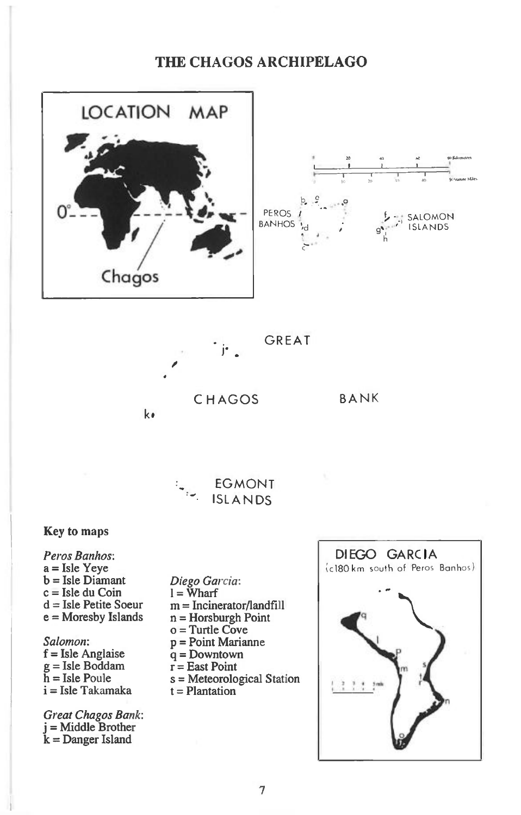# **THE CHAGOS ARCHIPELAGO**



**Salomon: f = Isle Anglaise g = Isle Boddam h = Isle Poule i = Isle Takamaka** 

**Gy eat Chagos Bank: j= Middle Brother k = Danger Island** 

**p = Point Marianne q = Downtown r = East Point**   $s = Metecrological Station$ **t = Plantation** 

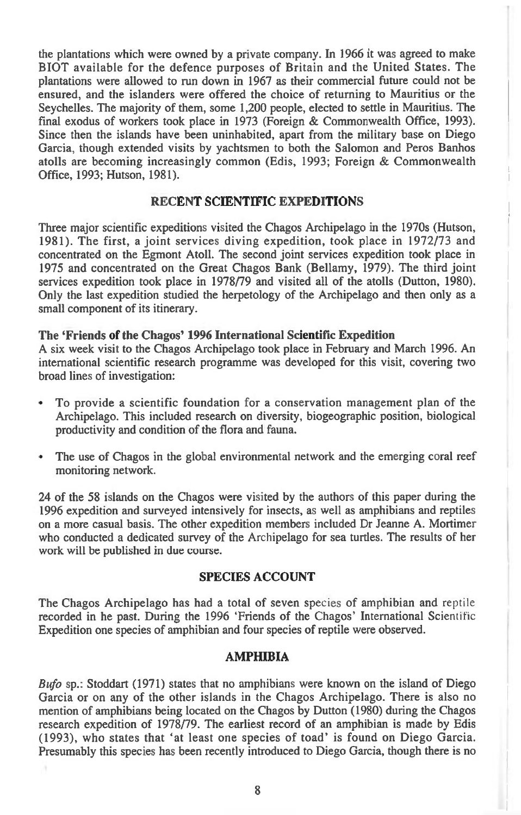the plantations which were owned by a private company. In 1966 it was agreed to make BIOT available for the defence purposes of Britain and the United States. The plantations were allowed to run down in 1967 as their commercial future could not be ensured, and the islanders were offered the choice of returning to Mauritius or the Seychelles. The majority of them, some 1,200 people, elected to settle in Mauritius. The final exodus of workers took place in 1973 (Foreign & Commonwealth Office, 1993). Since then the islands have been uninhabited, apart from the military base on Diego Garcia, though extended visits by yachtsmen to both the Salomon and Peros Banhos atolls are becoming increasingly common (Edis, 1993; Foreign & Commonwealth Office, 1993; Hutson, 1981).

### **RECENT SCIENTIFIC EXPEDITIONS**

Three major scientific expeditions visited the Chagos Archipelago in the 1970s (Hutson, 1981). The first, a joint services diving expedition, took place in 1972/73 and concentrated on the Egmont Atoll. The second joint services expedition took place in 1975 and concentrated on the Great Chagos Bank (Bellamy, 1979). The third joint services expedition took place in 1978/79 and visited all of the atolls (Dutton, 1980). Only the last expedition studied the herpetology of the Archipelago and then only as a small component of its itinerary.

#### **The 'Friends of the Chagos' 1996 International Scientific Expedition**

A six week visit to the Chagos Archipelago took place in February and March 1996. An international scientific research programme was developed for this visit, covering two broad lines of investigation:

- To provide a scientific foundation for a conservation management plan of the Archipelago. This included research on diversity, biogeographic position, biological productivity and condition of the flora and fauna.
- The use of Chagos in the global environmental network and the emerging coral reef monitoring network.

24 of the 58 islands on the Chagos were visited by the authors of this paper during the 1996 expedition and surveyed intensively for insects, as well as amphibians and reptiles on a more casual basis. The other expedition members included Dr Jeanne A. Mortimer who conducted a dedicated survey of the Archipelago for sea turtles. The results of her work will be published in due course.

#### **SPECIES ACCOUNT**

The Chagos Archipelago has had a total of seven species of amphibian and reptile recorded in he past. During the 1996 'Friends of the Chagos' International Scientific Expedition one species of amphibian and four species of reptile were observed.

### **AMPHIBIA**

*Bufo* sp.: Stoddart (1971) states that no amphibians were known on the island of Diego Garcia or on any of the other islands in the Chagos Archipelago. There is also no mention of amphibians being located on the Chagos by Dutton (1980) during the Chagos research expedition of 1978/79. The earliest record of an amphibian is made by Edis (1993), who states that 'at least one species of toad' is found on Diego Garcia. Presumably this species has been recently introduced to Diego Garcia, though there is no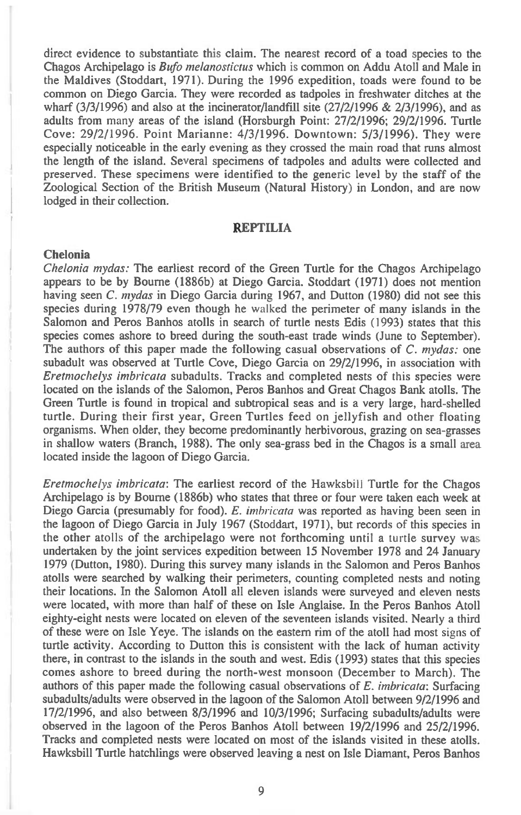direct evidence to substantiate this claim. The nearest record of a toad species to the Chagos Archipelago is *Bufo melanostictus* which is common on Addu Atoll and Male in the Maldives (Stoddart, 1971). During the 1996 expedition, toads were found to be common on Diego Garcia. They were recorded as tadpoles in freshwater ditches at the wharf  $(3/3/1996)$  and also at the incinerator/landfill site  $(27/2/1996 \& 2/3/1996)$ , and as adults from many areas of the island (Horsburgh Point: 27/2/1996; 29/2/1996. Turtle Cove: 29/2/1996. Point Marianne: 4/3/1996. Downtown: 5/3/1996). They were especially noticeable in the early evening as they crossed the main road that runs almost the length of the island. Several specimens of tadpoles and adults were collected and preserved. These specimens were identified to the generic level by the staff of the Zoological Section of the British Museum (Natural History) in London, and are now lodged in their collection.

#### **REPTILIA**

#### **Chelonia**

*Chelonia mydas:* The earliest record of the Green Turtle for the Chagos Archipelago appears to be by Bourne (1886b) at Diego Garcia. Stoddart (1971) does not mention having seen *C. mydas* in Diego Garcia during 1967, and Dutton (1980) did not see this species during 1978/79 even though he walked the perimeter of many islands in the Salomon and Peros Banhos atolls in search of turtle nests Edis (1993) states that this species comes ashore to breed during the south-east trade winds (June to September). The authors of this paper made the following casual observations of *C. mydas:* one subadult was observed at Turtle Cove, Diego Garcia on 29/2/1996, in association with *Eretmochelys imbricata* subadults. Tracks and completed nests of this species were located on the islands of the Salomon, Peros Banhos and Great Chagos Bank atolls. The Green Turtle is found in tropical and subtropical seas and is a very large, hard-shelled turtle. During their first year, Green Turtles feed on jellyfish and other floating organisms. When older, they become predominantly herbivorous, grazing on sea-grasses in shallow waters (Branch, 1988). The only sea-grass bed in the Chagos is a small area located inside the lagoon of Diego Garcia.

*Eretmochelys imbricata:* The earliest record of the Hawksbill Turtle for the Chagos Archipelago is by Bourne (1886b) who states that three or four were taken each week at Diego Garcia (presumably for food). *E. imbricata* was reported as having been seen in the lagoon of Diego Garcia in July 1967 (Stoddart, 1971), but records of this species in the other atolls of the archipelago were not forthcoming until a turtle survey was undertaken by the joint services expedition between 15 November 1978 and 24 January 1979 (Dutton, 1980). During this survey many islands in the Salomon and Peros Banhos atolls were searched by walking their perimeters, counting completed nests and noting their locations. In the Salomon Atoll all eleven islands were surveyed and eleven nests were located, with more than half of these on Isle Anglaise. In the Peros Banhos Atoll eighty-eight nests were located on eleven of the seventeen islands visited. Nearly a third of these were on Isle Yeye. The islands on the eastern rim of the atoll had most signs of turtle activity. According to Dutton this is consistent with the lack of human activity there, in contrast to the islands in the south and west. Edis (1993) states that this species comes ashore to breed during the north-west monsoon (December to March). The authors of this paper made the following casual observations of *E. imbricata:* Surfacing subadults/adults were observed in the lagoon of the Salomon Atoll between 9/2/1996 and 17/2/1996, and also between 8/3/1996 and 10/3/1996; Surfacing subadults/adults were observed in the lagoon of the Peros Banhos Atoll between 19/2/1996 and 25/2/1996. Tracks and completed nests were located on most of the islands visited in these atolls. Hawksbill Turtle hatchlings were observed leaving a nest on Isle Diamant, Peros Banhos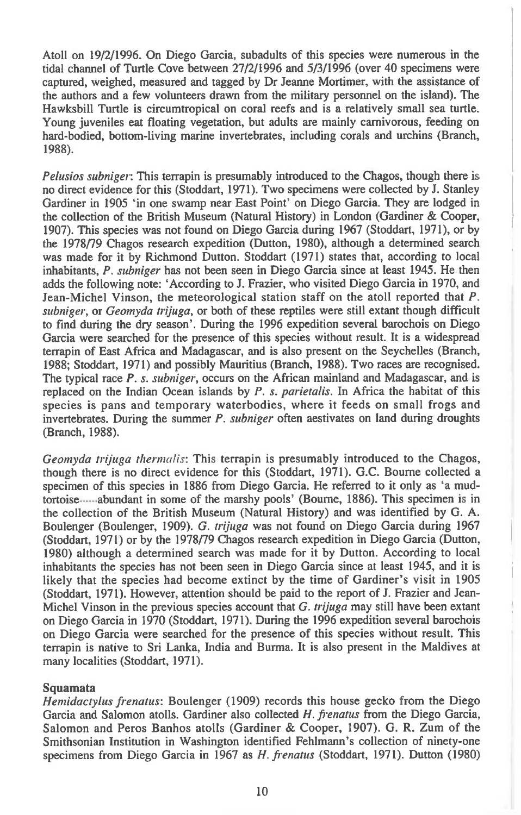Atoll on 19/2/1996. On Diego Garcia, subadults of this species were numerous in the tidal channel of Turtle Cove between 27/2/1996 and 5/3/1996 (over 40 specimens were captured, weighed, measured and tagged by Dr Jeanne Mortimer, with the assistance of the authors and a few volunteers drawn from the military personnel on the island). The Hawksbill Turtle is circumtropical on coral reefs and is a relatively small sea turtle. Young juveniles eat floating vegetation, but adults are mainly carnivorous, feeding on hard-bodied, bottom-living marine invertebrates, including corals and urchins (Branch, 1988).

*Pelusios subniger:* This terrapin is presumably introduced to the Chagos, though there is no direct evidence for this (Stoddart, 1971). Two specimens were collected by J. Stanley Gardiner in 1905 'in one swamp near East Point' on Diego Garcia. They are lodged in the collection of the British Museum (Natural History) in London (Gardiner & Cooper, 1907). This species was not found on Diego Garcia during 1967 (Stoddart, 1971), or by the 1978/79 Chagos research expedition (Dutton, 1980), although a determined search was made for it by Richmond Dutton. Stoddart (1971) states that, according to local inhabitants, *P. subniger* has not been seen in Diego Garcia since at least 1945. He then adds the following note: 'According to J. Frazier, who visited Diego Garcia in 1970, and Jean-Michel Vinson, the meteorological station staff on the atoll reported that *P. subniger,* or *Geomyda trijuga,* or both of these reptiles were still extant though difficult to find during the dry season'. During the 1996 expedition several barochois on Diego Garcia were searched for the presence of this species without result. It is a widespread terrapin of East Africa and Madagascar, and is also present on the Seychelles (Branch, 1988; Stoddart, 1971) and possibly Mauritius (Branch, 1988). Two races are recognised. The typical race *P. s. subniger,* occurs on the African mainland and Madagascar, and is replaced on the Indian Ocean islands by *P. s. parietalis.* In Africa the habitat of this species is pans and temporary waterbodies, where it feeds on small frogs and invertebrates. During the summer *P. subniger* often aestivates on land during droughts (Branch, 1988).

*Geomyda trijuga thermalis:* This terrapin is presumably introduced to the Chagos, though there is no direct evidence for this (Stoddart, 1971). G.C. Bourne collected a specimen of this species in 1886 from Diego Garcia. He referred to it only as 'a mudtortoise abundant in some of the marshy pools' (Bourne, 1886). This specimen is in the collection of the British Museum (Natural History) and was identified by G. A. Boulenger (Boulenger, 1909). *G. trijuga* was not found on Diego Garcia during 1967 (Stoddart, 1971) or by the 1978/79 Chagos research expedition in Diego Garcia (Dutton, 1980) although a determined search was made for it by Dutton. According to local inhabitants the species has not been seen in Diego Garcia since at least 1945, and it is likely that the species had become extinct by the time of Gardiner's visit in 1905 (Stoddart, 1971). However, attention should be paid to the report of J. Frazier and Jean-Michel Vinson in the previous species account that *G. trijuga may* still have been extant on Diego Garcia in 1970 (Stoddart, 1971). During the 1996 expedition several barochois on Diego Garcia were searched for the presence of this species without result. This terrapin is native to Sri Lanka, India and Burma. It is also present in the Maldives at many localities (Stoddart, 1971).

#### **Squamata**

*Hemidactylus frenatus:* Boulenger (1909) records this house gecko from the Diego Garcia and Salomon atolls. Gardiner also collected *H. frenatus* from the Diego Garcia, Salomon and Peros Banhos atolls (Gardiner & Cooper, 1907). G. R. Zum of the Smithsonian Institution in Washington identified Fehlmann's collection of ninety-one specimens from Diego Garcia in 1967 as *H. frenatus* (Stoddart, 1971). Dutton (1980)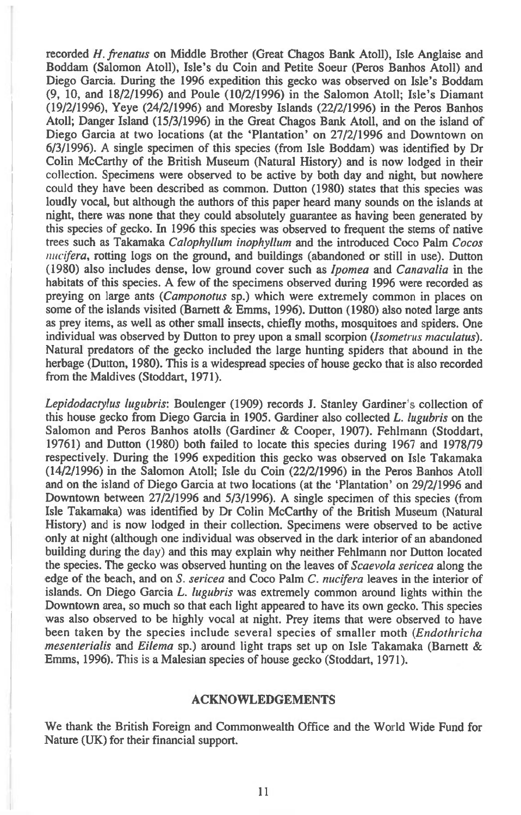recorded *H. frenatus* on Middle Brother (Great Chagos Bank Atoll), Isle Anglaise and Boddam (Salomon Atoll), Isle's du Coin and Petite Soeur (Peros Banhos Atoll) and Diego Garcia. During the 1996 expedition this gecko was observed on Isle's Boddam (9, 10, and 18/2/1996) and Poule (10/2/1996) in the Salomon Atoll; Isle's Diamant (19/2/1996), Yeye (24/2/1996) and Moresby Islands (22/2/1996) in the Peros Banhos Atoll; Danger Island (15/3/1996) in the Great Chagos Bank Atoll, and on the island of Diego Garcia at two locations (at the 'Plantation' on 27/2/1996 and Downtown on 6/3/1996). A single specimen of this species (from Isle Boddam) was identified by Dr Colin McCarthy of the British Museum (Natural History) and is now lodged in their collection. Specimens were observed to be active by both day and night, but nowhere could they have been described as common. Dutton (1980) states that this species was loudly vocal, but although the authors of this paper heard many sounds on the islands at night, there was none that they could absolutely guarantee as having been generated by this species of gecko. In 1996 this species was observed to frequent the stems of native trees such as Takamaka *Calophyllum inophyllum* and the introduced Coco Palm *Cocos nucifera,* rotting logs on the ground, and buildings (abandoned or still in use). Dutton (1980) also includes dense, low ground cover such as *Ipomea* and *Canavalia* in the habitats of this species. A few of the specimens observed during 1996 were recorded as preying on large ants *(Camponotus* sp.) which were extremely common in places on some of the islands visited (Barnett & Emms, 1996). Dutton (1980) also noted large ants as prey items, as well as other small insects, chiefly moths, mosquitoes and spiders. One individual was observed by Dutton to prey upon a small scorpion *(Isometrus maculatus).*  Natural predators of the gecko included the large hunting spiders that abound in the herbage (Dutton, 1980). This is a widespread species of house gecko that is also recorded from the Maldives (Stoddart, 1971).

*Lepidodactylus lugubris:* Boulenger (1909) records J. Stanley Gardiner's collection of this house gecko from Diego Garcia in 1905. Gardiner also collected *L. lugubris* on the Salomon and Peros Banhos atolls (Gardiner & Cooper, 1907). Fehlmann (Stoddart, 19761) and Dutton (1980) both failed to locate this species during 1967 and 1978/79 respectively. During the 1996 expedition this gecko was observed on Isle Takamaka (14/2/1996) in the Salomon Atoll; Isle du Coin (22/2/1996) in the Peros Banhos Atoll and on the island of Diego Garcia at two locations (at the 'Plantation' on 29/2/1996 and Downtown between 27/2/1996 and 5/3/1996). A single specimen of this species (from Isle Takamaka) was identified by Dr Colin McCarthy of the British Museum (Natural History) and is now lodged in their collection. Specimens were observed to be active only at night (although one individual was observed in the dark interior of an abandoned building during the day) and this may explain why neither Fehlmann nor Dutton located the species. The gecko was observed hunting on the leaves of *Scaevola sericea* along the edge of the beach, and on *S. sericea* and Coco Palm *C. nucifera* leaves in the interior of islands. On Diego Garcia *L. lugubris* was extremely common around lights within the Downtown area, so much so that each light appeared to have its own gecko. This species was also observed to be highly vocal at night. Prey items that were observed to have been taken by the species include several species of smaller moth *(Endothricha mesenterialis* and *Eilema* sp.) around light traps set up on Isle Takamaka (Barnett & Emms, 1996). This is a Malesian species of house gecko (Stoddart, 1971).

#### **ACKNOWLEDGEMENTS**

We thank the British Foreign and Commonwealth Office and the World Wide Fund for Nature (UK) for their financial support.